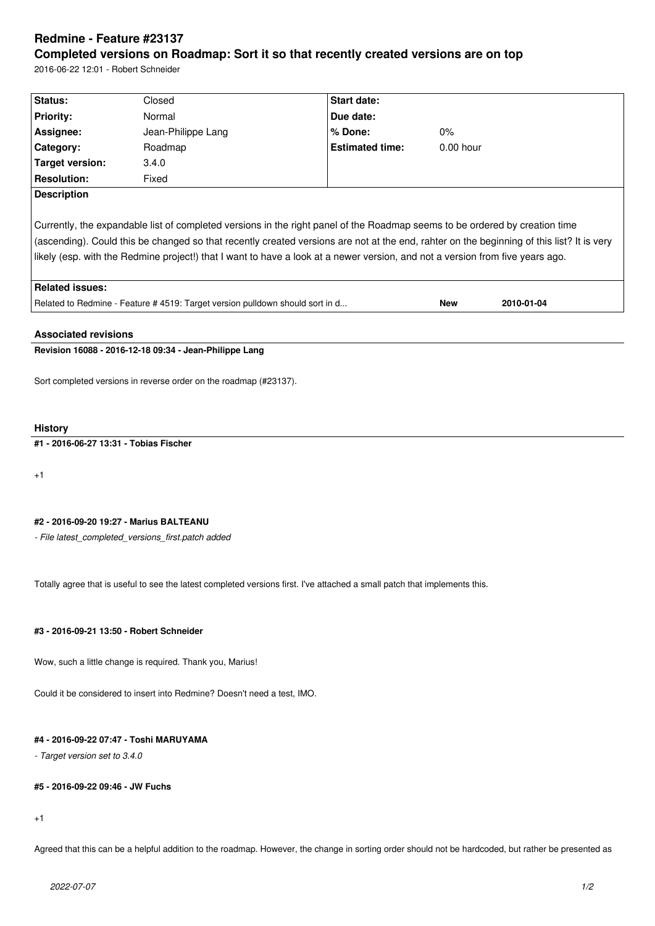# **Redmine - Feature #23137 Completed versions on Roadmap: Sort it so that recently created versions are on top**

2016-06-22 12:01 - Robert Schneider

| Status:                                                                                                                                                                                                                                                                                                                                                                                                   | Closed             | Start date:            |             |            |  |  |  |
|-----------------------------------------------------------------------------------------------------------------------------------------------------------------------------------------------------------------------------------------------------------------------------------------------------------------------------------------------------------------------------------------------------------|--------------------|------------------------|-------------|------------|--|--|--|
| <b>Priority:</b>                                                                                                                                                                                                                                                                                                                                                                                          | Normal             | Due date:              |             |            |  |  |  |
| Assignee:                                                                                                                                                                                                                                                                                                                                                                                                 | Jean-Philippe Lang | $%$ Done:              | $0\%$       |            |  |  |  |
| Category:                                                                                                                                                                                                                                                                                                                                                                                                 | Roadmap            | <b>Estimated time:</b> | $0.00$ hour |            |  |  |  |
| Target version:                                                                                                                                                                                                                                                                                                                                                                                           | 3.4.0              |                        |             |            |  |  |  |
| <b>Resolution:</b>                                                                                                                                                                                                                                                                                                                                                                                        | Fixed              |                        |             |            |  |  |  |
| <b>Description</b>                                                                                                                                                                                                                                                                                                                                                                                        |                    |                        |             |            |  |  |  |
| Currently, the expandable list of completed versions in the right panel of the Roadmap seems to be ordered by creation time<br>(ascending). Could this be changed so that recently created versions are not at the end, rahter on the beginning of this list? It is very<br>likely (esp. with the Redmine project!) that I want to have a look at a newer version, and not a version from five years ago. |                    |                        |             |            |  |  |  |
| Related issues:                                                                                                                                                                                                                                                                                                                                                                                           |                    |                        |             |            |  |  |  |
| Related to Redmine - Feature # 4519: Target version pulldown should sort in d                                                                                                                                                                                                                                                                                                                             |                    |                        | <b>New</b>  | 2010-01-04 |  |  |  |
| <b>Associated revisions</b>                                                                                                                                                                                                                                                                                                                                                                               |                    |                        |             |            |  |  |  |

# **Revision 16088 - 2016-12-18 09:34 - Jean-Philippe Lang**

Sort completed versions in reverse order on the roadmap (#23137).

### **History**

# **#1 - 2016-06-27 13:31 - Tobias Fischer**

+1

### **#2 - 2016-09-20 19:27 - Marius BALTEANU**

*- File latest\_completed\_versions\_first.patch added*

Totally agree that is useful to see the latest completed versions first. I've attached a small patch that implements this.

## **#3 - 2016-09-21 13:50 - Robert Schneider**

Wow, such a little change is required. Thank you, Marius!

Could it be considered to insert into Redmine? Doesn't need a test, IMO.

# **#4 - 2016-09-22 07:47 - Toshi MARUYAMA**

*- Target version set to 3.4.0*

#### **#5 - 2016-09-22 09:46 - JW Fuchs**

+1

Agreed that this can be a helpful addition to the roadmap. However, the change in sorting order should not be hardcoded, but rather be presented as